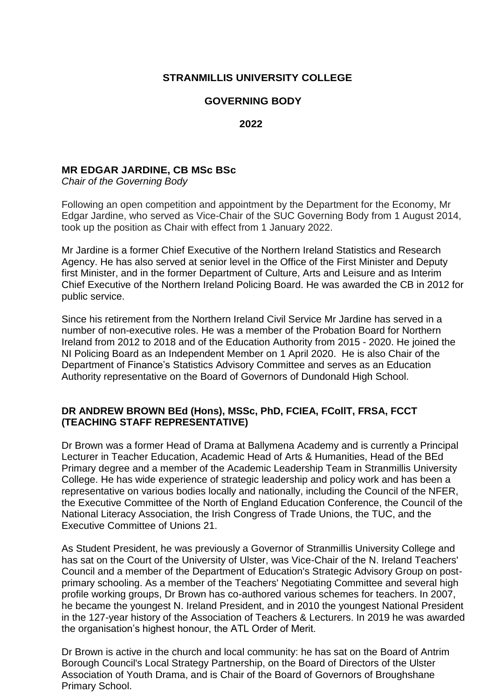# **STRANMILLIS UNIVERSITY COLLEGE**

### **GOVERNING BODY**

#### **2022**

### **MR EDGAR JARDINE, CB MSc BSc**

*Chair of the Governing Body*

Following an open competition and appointment by the Department for the Economy, Mr Edgar Jardine, who served as Vice-Chair of the SUC Governing Body from 1 August 2014, took up the position as Chair with effect from 1 January 2022.

Mr Jardine is a former Chief Executive of the Northern Ireland Statistics and Research Agency. He has also served at senior level in the Office of the First Minister and Deputy first Minister, and in the former Department of Culture, Arts and Leisure and as Interim Chief Executive of the Northern Ireland Policing Board. He was awarded the CB in 2012 for public service.

Since his retirement from the Northern Ireland Civil Service Mr Jardine has served in a number of non-executive roles. He was a member of the Probation Board for Northern Ireland from 2012 to 2018 and of the Education Authority from 2015 - 2020. He joined the NI Policing Board as an Independent Member on 1 April 2020. He is also Chair of the Department of Finance's Statistics Advisory Committee and serves as an Education Authority representative on the Board of Governors of Dundonald High School.

### **DR ANDREW BROWN BEd (Hons), MSSc, PhD, FCIEA, FCollT, FRSA, FCCT (TEACHING STAFF REPRESENTATIVE)**

Dr Brown was a former Head of Drama at Ballymena Academy and is currently a Principal Lecturer in Teacher Education, Academic Head of Arts & Humanities, Head of the BEd Primary degree and a member of the Academic Leadership Team in Stranmillis University College. He has wide experience of strategic leadership and policy work and has been a representative on various bodies locally and nationally, including the Council of the NFER, the Executive Committee of the North of England Education Conference, the Council of the National Literacy Association, the Irish Congress of Trade Unions, the TUC, and the Executive Committee of Unions 21.

As Student President, he was previously a Governor of Stranmillis University College and has sat on the Court of the University of Ulster, was Vice-Chair of the N. Ireland Teachers' Council and a member of the Department of Education's Strategic Advisory Group on postprimary schooling. As a member of the Teachers' Negotiating Committee and several high profile working groups, Dr Brown has co-authored various schemes for teachers. In 2007, he became the youngest N. Ireland President, and in 2010 the youngest National President in the 127-year history of the Association of Teachers & Lecturers. In 2019 he was awarded the organisation's highest honour, the ATL Order of Merit.

Dr Brown is active in the church and local community: he has sat on the Board of Antrim Borough Council's Local Strategy Partnership, on the Board of Directors of the Ulster Association of Youth Drama, and is Chair of the Board of Governors of Broughshane Primary School.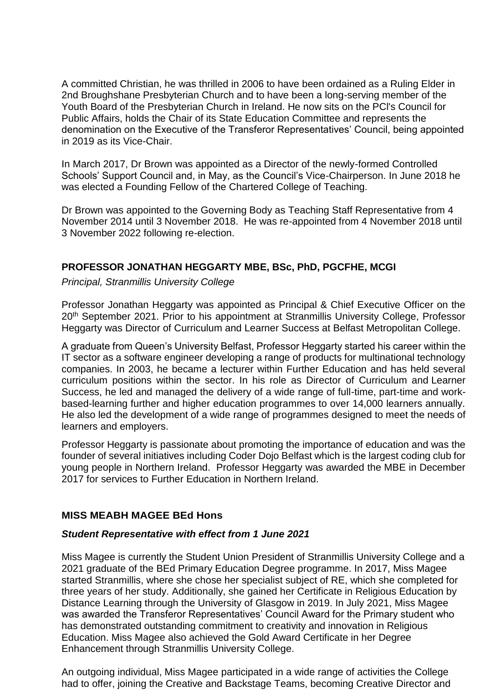A committed Christian, he was thrilled in 2006 to have been ordained as a Ruling Elder in 2nd Broughshane Presbyterian Church and to have been a long-serving member of the Youth Board of the Presbyterian Church in Ireland. He now sits on the PCl's Council for Public Affairs, holds the Chair of its State Education Committee and represents the denomination on the Executive of the Transferor Representatives' Council, being appointed in 2019 as its Vice-Chair.

In March 2017, Dr Brown was appointed as a Director of the newly-formed Controlled Schools' Support Council and, in May, as the Council's Vice-Chairperson. In June 2018 he was elected a Founding Fellow of the Chartered College of Teaching.

Dr Brown was appointed to the Governing Body as Teaching Staff Representative from 4 November 2014 until 3 November 2018. He was re-appointed from 4 November 2018 until 3 November 2022 following re-election.

### **PROFESSOR JONATHAN HEGGARTY MBE, BSc, PhD, PGCFHE, MCGI**

*Principal, Stranmillis University College*

Professor Jonathan Heggarty was appointed as Principal & Chief Executive Officer on the 20<sup>th</sup> September 2021. Prior to his appointment at Stranmillis University College, Professor Heggarty was Director of Curriculum and Learner Success at Belfast Metropolitan College.

A graduate from Queen's University Belfast, Professor Heggarty started his career within the IT sector as a software engineer developing a range of products for multinational technology companies. In 2003, he became a lecturer within Further Education and has held several curriculum positions within the sector. In his role as Director of Curriculum and Learner Success, he led and managed the delivery of a wide range of full-time, part-time and workbased-learning further and higher education programmes to over 14,000 learners annually. He also led the development of a wide range of programmes designed to meet the needs of learners and employers.

Professor Heggarty is passionate about promoting the importance of education and was the founder of several initiatives including Coder Dojo Belfast which is the largest coding club for young people in Northern Ireland. Professor Heggarty was awarded the MBE in December 2017 for services to Further Education in Northern Ireland.

### **MISS MEABH MAGEE BEd Hons**

### *Student Representative with effect from 1 June 2021*

Miss Magee is currently the Student Union President of Stranmillis University College and a 2021 graduate of the BEd Primary Education Degree programme. In 2017, Miss Magee started Stranmillis, where she chose her specialist subject of RE, which she completed for three years of her study. Additionally, she gained her Certificate in Religious Education by Distance Learning through the University of Glasgow in 2019. In July 2021, Miss Magee was awarded the Transferor Representatives' Council Award for the Primary student who has demonstrated outstanding commitment to creativity and innovation in Religious Education. Miss Magee also achieved the Gold Award Certificate in her Degree Enhancement through Stranmillis University College.

An outgoing individual, Miss Magee participated in a wide range of activities the College had to offer, joining the Creative and Backstage Teams, becoming Creative Director and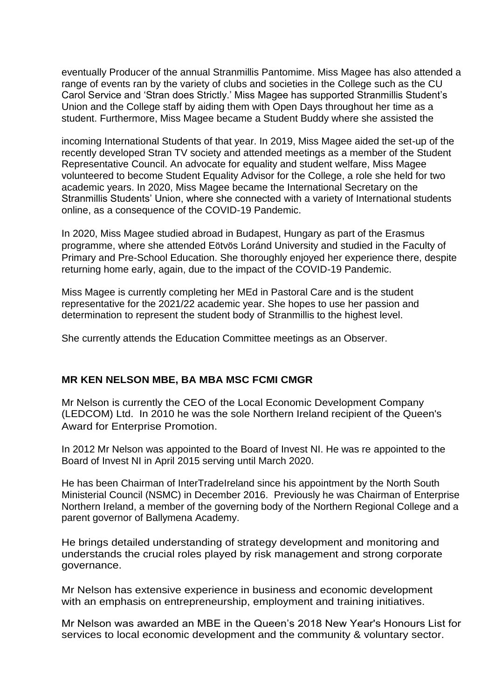eventually Producer of the annual Stranmillis Pantomime. Miss Magee has also attended a range of events ran by the variety of clubs and societies in the College such as the CU Carol Service and 'Stran does Strictly.' Miss Magee has supported Stranmillis Student's Union and the College staff by aiding them with Open Days throughout her time as a student. Furthermore, Miss Magee became a Student Buddy where she assisted the

incoming International Students of that year. In 2019, Miss Magee aided the set-up of the recently developed Stran TV society and attended meetings as a member of the Student Representative Council. An advocate for equality and student welfare, Miss Magee volunteered to become Student Equality Advisor for the College, a role she held for two academic years. In 2020, Miss Magee became the International Secretary on the Stranmillis Students' Union, where she connected with a variety of International students online, as a consequence of the COVID-19 Pandemic.

In 2020, Miss Magee studied abroad in Budapest, Hungary as part of the Erasmus programme, where she attended Eötvös Loránd University and studied in the Faculty of Primary and Pre-School Education. She thoroughly enjoyed her experience there, despite returning home early, again, due to the impact of the COVID-19 Pandemic.

Miss Magee is currently completing her MEd in Pastoral Care and is the student representative for the 2021/22 academic year. She hopes to use her passion and determination to represent the student body of Stranmillis to the highest level.

She currently attends the Education Committee meetings as an Observer.

### **MR KEN NELSON MBE, BA MBA MSC FCMI CMGR**

Mr Nelson is currently the CEO of the Local Economic Development Company (LEDCOM) Ltd. In 2010 he was the sole Northern Ireland recipient of the Queen's Award for Enterprise Promotion.

In 2012 Mr Nelson was appointed to the Board of Invest NI. He was re appointed to the Board of Invest NI in April 2015 serving until March 2020.

He has been Chairman of InterTradeIreland since his appointment by the North South Ministerial Council (NSMC) in December 2016. Previously he was Chairman of Enterprise Northern Ireland, a member of the governing body of the Northern Regional College and a parent governor of Ballymena Academy.

He brings detailed understanding of strategy development and monitoring and understands the crucial roles played by risk management and strong corporate governance.

Mr Nelson has extensive experience in business and economic development with an emphasis on entrepreneurship, employment and training initiatives.

Mr Nelson was awarded an MBE in the Queen's 2018 New Year's Honours List for services to local economic development and the community & voluntary sector.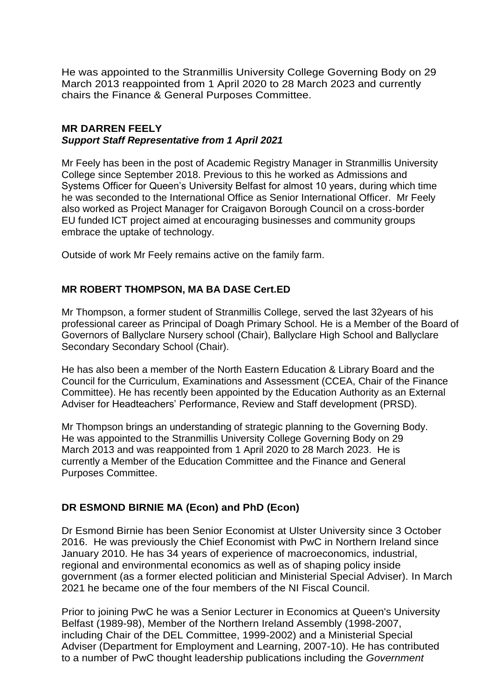He was appointed to the Stranmillis University College Governing Body on 29 March 2013 reappointed from 1 April 2020 to 28 March 2023 and currently chairs the Finance & General Purposes Committee.

### **MR DARREN FEELY** *Support Staff Representative from 1 April 2021*

Mr Feely has been in the post of Academic Registry Manager in Stranmillis University College since September 2018. Previous to this he worked as Admissions and Systems Officer for Queen's University Belfast for almost 10 years, during which time he was seconded to the International Office as Senior International Officer. Mr Feely also worked as Project Manager for Craigavon Borough Council on a cross-border EU funded ICT project aimed at encouraging businesses and community groups embrace the uptake of technology.

Outside of work Mr Feely remains active on the family farm.

### **MR ROBERT THOMPSON, MA BA DASE Cert.ED**

Mr Thompson, a former student of Stranmillis College, served the last 32years of his professional career as Principal of Doagh Primary School. He is a Member of the Board of Governors of Ballyclare Nursery school (Chair), Ballyclare High School and Ballyclare Secondary Secondary School (Chair).

He has also been a member of the North Eastern Education & Library Board and the Council for the Curriculum, Examinations and Assessment (CCEA, Chair of the Finance Committee). He has recently been appointed by the Education Authority as an External Adviser for Headteachers' Performance, Review and Staff development (PRSD).

Mr Thompson brings an understanding of strategic planning to the Governing Body. He was appointed to the Stranmillis University College Governing Body on 29 March 2013 and was reappointed from 1 April 2020 to 28 March 2023. He is currently a Member of the Education Committee and the Finance and General Purposes Committee.

# **DR ESMOND BIRNIE MA (Econ) and PhD (Econ)**

Dr Esmond Birnie has been Senior Economist at Ulster University since 3 October 2016. He was previously the Chief Economist with PwC in Northern Ireland since January 2010. He has 34 years of experience of macroeconomics, industrial, regional and environmental economics as well as of shaping policy inside government (as a former elected politician and Ministerial Special Adviser). In March 2021 he became one of the four members of the NI Fiscal Council.

Prior to joining PwC he was a Senior Lecturer in Economics at Queen's University Belfast (1989-98), Member of the Northern Ireland Assembly (1998-2007, including Chair of the DEL Committee, 1999-2002) and a Ministerial Special Adviser (Department for Employment and Learning, 2007-10). He has contributed to a number of PwC thought leadership publications including the *Government*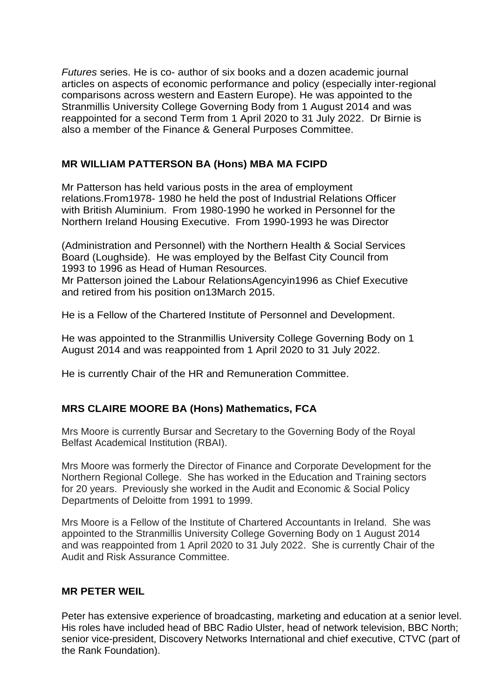*Futures* series. He is co- author of six books and a dozen academic journal articles on aspects of economic performance and policy (especially inter-regional comparisons across western and Eastern Europe). He was appointed to the Stranmillis University College Governing Body from 1 August 2014 and was reappointed for a second Term from 1 April 2020 to 31 July 2022. Dr Birnie is also a member of the Finance & General Purposes Committee.

# **MR WILLIAM PATTERSON BA (Hons) MBA MA FCIPD**

Mr Patterson has held various posts in the area of employment relations.From1978- 1980 he held the post of Industrial Relations Officer with British Aluminium. From 1980-1990 he worked in Personnel for the Northern Ireland Housing Executive. From 1990-1993 he was Director

(Administration and Personnel) with the Northern Health & Social Services Board (Loughside). He was employed by the Belfast City Council from 1993 to 1996 as Head of Human Resources.

Mr Patterson joined the Labour RelationsAgencyin1996 as Chief Executive and retired from his position on13March 2015.

He is a Fellow of the Chartered Institute of Personnel and Development.

He was appointed to the Stranmillis University College Governing Body on 1 August 2014 and was reappointed from 1 April 2020 to 31 July 2022.

He is currently Chair of the HR and Remuneration Committee.

# **MRS CLAIRE MOORE BA (Hons) Mathematics, FCA**

Mrs Moore is currently Bursar and Secretary to the Governing Body of the Royal Belfast Academical Institution (RBAI).

Mrs Moore was formerly the Director of Finance and Corporate Development for the Northern Regional College. She has worked in the Education and Training sectors for 20 years. Previously she worked in the Audit and Economic & Social Policy Departments of Deloitte from 1991 to 1999.

Mrs Moore is a Fellow of the Institute of Chartered Accountants in Ireland. She was appointed to the Stranmillis University College Governing Body on 1 August 2014 and was reappointed from 1 April 2020 to 31 July 2022. She is currently Chair of the Audit and Risk Assurance Committee.

### **MR PETER WEIL**

Peter has extensive experience of broadcasting, marketing and education at a senior level. His roles have included head of BBC Radio Ulster, head of network television, BBC North; senior vice-president, Discovery Networks International and chief executive, CTVC (part of the Rank Foundation).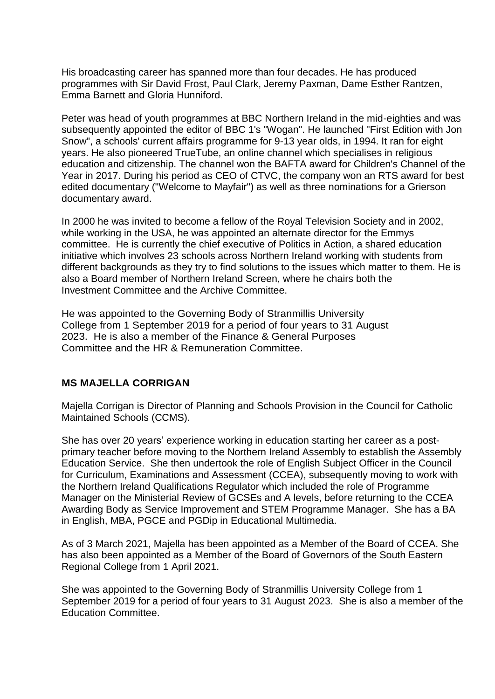His broadcasting career has spanned more than four decades. He has produced programmes with Sir David Frost, Paul Clark, Jeremy Paxman, Dame Esther Rantzen, Emma Barnett and Gloria Hunniford.

Peter was head of youth programmes at BBC Northern Ireland in the mid-eighties and was subsequently appointed the editor of BBC 1's "Wogan". He launched "First Edition with Jon Snow", a schools' current affairs programme for 9-13 year olds, in 1994. It ran for eight years. He also pioneered TrueTube, an online channel which specialises in religious education and citizenship. The channel won the BAFTA award for Children's Channel of the Year in 2017. During his period as CEO of CTVC, the company won an RTS award for best edited documentary ("Welcome to Mayfair") as well as three nominations for a Grierson documentary award.

In 2000 he was invited to become a fellow of the Royal Television Society and in 2002, while working in the USA, he was appointed an alternate director for the Emmys committee. He is currently the chief executive of Politics in Action, a shared education initiative which involves 23 schools across Northern Ireland working with students from different backgrounds as they try to find solutions to the issues which matter to them. He is also a Board member of Northern Ireland Screen, where he chairs both the Investment Committee and the Archive Committee.

He was appointed to the Governing Body of Stranmillis University College from 1 September 2019 for a period of four years to 31 August 2023. He is also a member of the Finance & General Purposes Committee and the HR & Remuneration Committee.

### **MS MAJELLA CORRIGAN**

Majella Corrigan is Director of Planning and Schools Provision in the Council for Catholic Maintained Schools (CCMS).

She has over 20 years' experience working in education starting her career as a postprimary teacher before moving to the Northern Ireland Assembly to establish the Assembly Education Service. She then undertook the role of English Subject Officer in the Council for Curriculum, Examinations and Assessment (CCEA), subsequently moving to work with the Northern Ireland Qualifications Regulator which included the role of Programme Manager on the Ministerial Review of GCSEs and A levels, before returning to the CCEA Awarding Body as Service Improvement and STEM Programme Manager. She has a BA in English, MBA, PGCE and PGDip in Educational Multimedia.

As of 3 March 2021, Majella has been appointed as a Member of the Board of CCEA. She has also been appointed as a Member of the Board of Governors of the South Eastern Regional College from 1 April 2021.

She was appointed to the Governing Body of Stranmillis University College from 1 September 2019 for a period of four years to 31 August 2023. She is also a member of the Education Committee.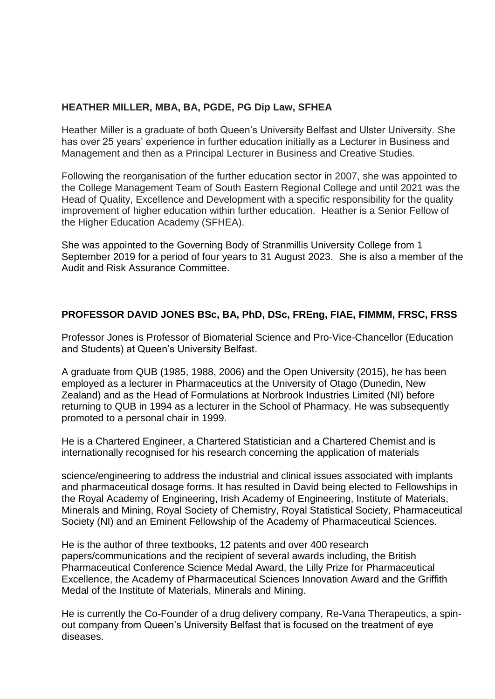# **HEATHER MILLER, MBA, BA, PGDE, PG Dip Law, SFHEA**

Heather Miller is a graduate of both Queen's University Belfast and Ulster University. She has over 25 years' experience in further education initially as a Lecturer in Business and Management and then as a Principal Lecturer in Business and Creative Studies.

Following the reorganisation of the further education sector in 2007, she was appointed to the College Management Team of South Eastern Regional College and until 2021 was the Head of Quality, Excellence and Development with a specific responsibility for the quality improvement of higher education within further education. Heather is a Senior Fellow of the Higher Education Academy (SFHEA).

She was appointed to the Governing Body of Stranmillis University College from 1 September 2019 for a period of four years to 31 August 2023. She is also a member of the Audit and Risk Assurance Committee.

# **PROFESSOR DAVID JONES BSc, BA, PhD, DSc, FREng, FIAE, FIMMM, FRSC, FRSS**

Professor Jones is Professor of Biomaterial Science and Pro-Vice-Chancellor (Education and Students) at Queen's University Belfast.

A graduate from QUB (1985, 1988, 2006) and the Open University (2015), he has been employed as a lecturer in Pharmaceutics at the University of Otago (Dunedin, New Zealand) and as the Head of Formulations at Norbrook Industries Limited (NI) before returning to QUB in 1994 as a lecturer in the School of Pharmacy. He was subsequently promoted to a personal chair in 1999.

He is a Chartered Engineer, a Chartered Statistician and a Chartered Chemist and is internationally recognised for his research concerning the application of materials

science/engineering to address the industrial and clinical issues associated with implants and pharmaceutical dosage forms. It has resulted in David being elected to Fellowships in the Royal Academy of Engineering, Irish Academy of Engineering, Institute of Materials, Minerals and Mining, Royal Society of Chemistry, Royal Statistical Society, Pharmaceutical Society (NI) and an Eminent Fellowship of the Academy of Pharmaceutical Sciences.

He is the author of three textbooks, 12 patents and over 400 research papers/communications and the recipient of several awards including, the British Pharmaceutical Conference Science Medal Award, the Lilly Prize for Pharmaceutical Excellence, the Academy of Pharmaceutical Sciences Innovation Award and the Griffith Medal of the Institute of Materials, Minerals and Mining.

He is currently the Co-Founder of a drug delivery company, Re-Vana Therapeutics, a spinout company from Queen's University Belfast that is focused on the treatment of eye diseases.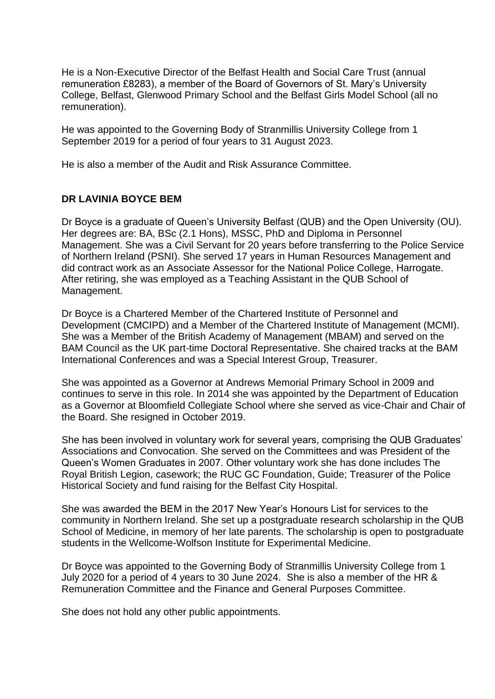He is a Non-Executive Director of the Belfast Health and Social Care Trust (annual remuneration £8283), a member of the Board of Governors of St. Mary's University College, Belfast, Glenwood Primary School and the Belfast Girls Model School (all no remuneration).

He was appointed to the Governing Body of Stranmillis University College from 1 September 2019 for a period of four years to 31 August 2023.

He is also a member of the Audit and Risk Assurance Committee.

### **DR LAVINIA BOYCE BEM**

Dr Boyce is a graduate of Queen's University Belfast (QUB) and the Open University (OU). Her degrees are: BA, BSc (2.1 Hons), MSSC, PhD and Diploma in Personnel Management. She was a Civil Servant for 20 years before transferring to the Police Service of Northern Ireland (PSNI). She served 17 years in Human Resources Management and did contract work as an Associate Assessor for the National Police College, Harrogate. After retiring, she was employed as a Teaching Assistant in the QUB School of Management.

Dr Boyce is a Chartered Member of the Chartered Institute of Personnel and Development (CMCIPD) and a Member of the Chartered Institute of Management (MCMI). She was a Member of the British Academy of Management (MBAM) and served on the BAM Council as the UK part-time Doctoral Representative. She chaired tracks at the BAM International Conferences and was a Special Interest Group, Treasurer.

She was appointed as a Governor at Andrews Memorial Primary School in 2009 and continues to serve in this role. In 2014 she was appointed by the Department of Education as a Governor at Bloomfield Collegiate School where she served as vice-Chair and Chair of the Board. She resigned in October 2019.

She has been involved in voluntary work for several years, comprising the QUB Graduates' Associations and Convocation. She served on the Committees and was President of the Queen's Women Graduates in 2007. Other voluntary work she has done includes The Royal British Legion, casework; the RUC GC Foundation, Guide; Treasurer of the Police Historical Society and fund raising for the Belfast City Hospital.

She was awarded the BEM in the 2017 New Year's Honours List for services to the community in Northern Ireland. She set up a postgraduate research scholarship in the QUB School of Medicine, in memory of her late parents. The scholarship is open to postgraduate students in the Wellcome-Wolfson Institute for Experimental Medicine.

Dr Boyce was appointed to the Governing Body of Stranmillis University College from 1 July 2020 for a period of 4 years to 30 June 2024. She is also a member of the HR & Remuneration Committee and the Finance and General Purposes Committee.

She does not hold any other public appointments.